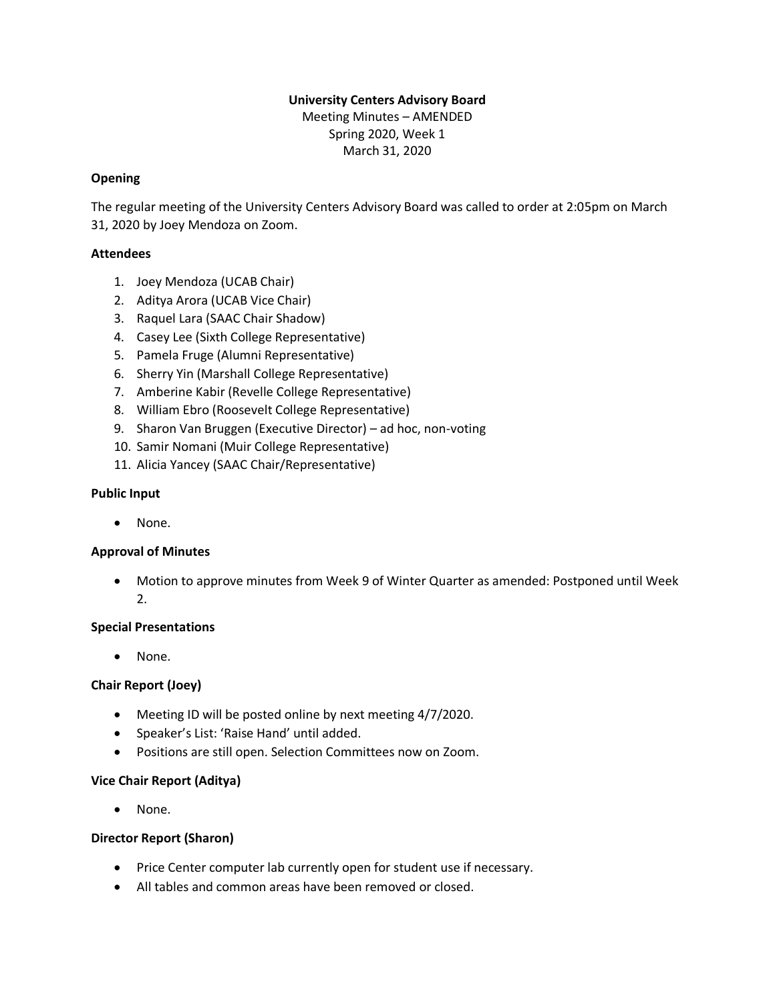# **University Centers Advisory Board**

Meeting Minutes – AMENDED Spring 2020, Week 1 March 31, 2020

## **Opening**

The regular meeting of the University Centers Advisory Board was called to order at 2:05pm on March 31, 2020 by Joey Mendoza on Zoom.

## **Attendees**

- 1. Joey Mendoza (UCAB Chair)
- 2. Aditya Arora (UCAB Vice Chair)
- 3. Raquel Lara (SAAC Chair Shadow)
- 4. Casey Lee (Sixth College Representative)
- 5. Pamela Fruge (Alumni Representative)
- 6. Sherry Yin (Marshall College Representative)
- 7. Amberine Kabir (Revelle College Representative)
- 8. William Ebro (Roosevelt College Representative)
- 9. Sharon Van Bruggen (Executive Director) ad hoc, non-voting
- 10. Samir Nomani (Muir College Representative)
- 11. Alicia Yancey (SAAC Chair/Representative)

### **Public Input**

• None.

### **Approval of Minutes**

• Motion to approve minutes from Week 9 of Winter Quarter as amended: Postponed until Week 2.

### **Special Presentations**

• None.

### **Chair Report (Joey)**

- Meeting ID will be posted online by next meeting 4/7/2020.
- Speaker's List: 'Raise Hand' until added.
- Positions are still open. Selection Committees now on Zoom.

### **Vice Chair Report (Aditya)**

• None.

### **Director Report (Sharon)**

- Price Center computer lab currently open for student use if necessary.
- All tables and common areas have been removed or closed.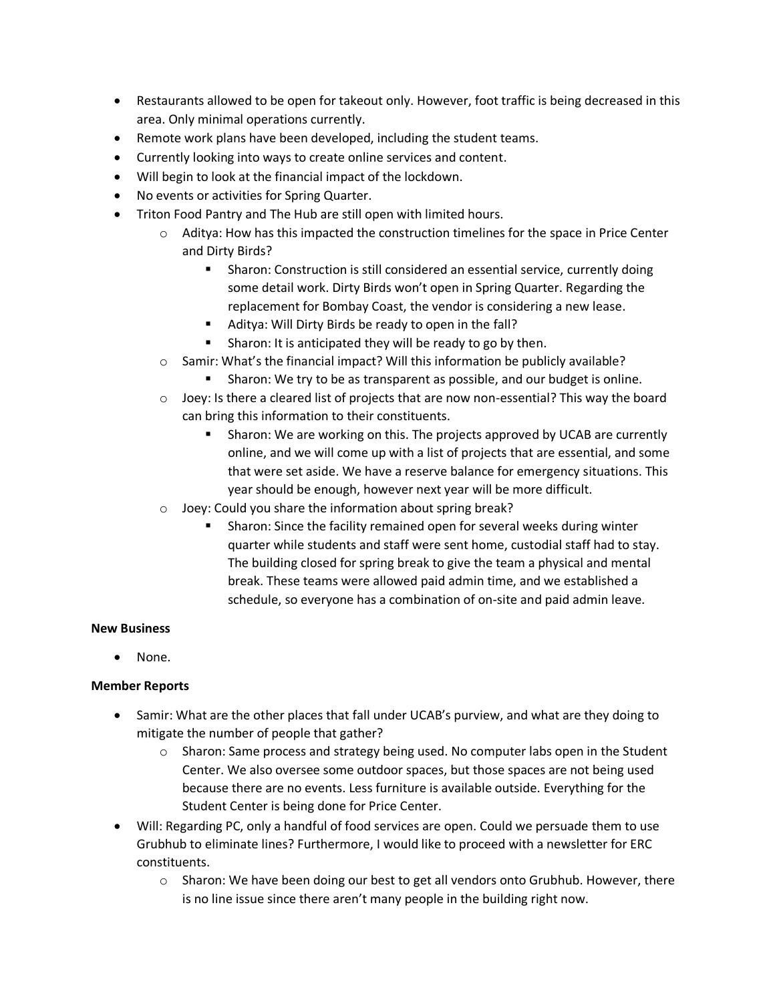- Restaurants allowed to be open for takeout only. However, foot traffic is being decreased in this area. Only minimal operations currently.
- Remote work plans have been developed, including the student teams.
- Currently looking into ways to create online services and content.
- Will begin to look at the financial impact of the lockdown.
- No events or activities for Spring Quarter.
- Triton Food Pantry and The Hub are still open with limited hours.
	- $\circ$  Aditya: How has this impacted the construction timelines for the space in Price Center and Dirty Birds?
		- **EXECT** Sharon: Construction is still considered an essential service, currently doing some detail work. Dirty Birds won't open in Spring Quarter. Regarding the replacement for Bombay Coast, the vendor is considering a new lease.
		- Aditya: Will Dirty Birds be ready to open in the fall?
		- Sharon: It is anticipated they will be ready to go by then.
	- o Samir: What's the financial impact? Will this information be publicly available?
		- Sharon: We try to be as transparent as possible, and our budget is online.
	- $\circ$  Joey: Is there a cleared list of projects that are now non-essential? This way the board can bring this information to their constituents.
		- **E** Sharon: We are working on this. The projects approved by UCAB are currently online, and we will come up with a list of projects that are essential, and some that were set aside. We have a reserve balance for emergency situations. This year should be enough, however next year will be more difficult.
	- o Joey: Could you share the information about spring break?
		- Sharon: Since the facility remained open for several weeks during winter quarter while students and staff were sent home, custodial staff had to stay. The building closed for spring break to give the team a physical and mental break. These teams were allowed paid admin time, and we established a schedule, so everyone has a combination of on-site and paid admin leave.

#### **New Business**

• None.

### **Member Reports**

- Samir: What are the other places that fall under UCAB's purview, and what are they doing to mitigate the number of people that gather?
	- o Sharon: Same process and strategy being used. No computer labs open in the Student Center. We also oversee some outdoor spaces, but those spaces are not being used because there are no events. Less furniture is available outside. Everything for the Student Center is being done for Price Center.
- Will: Regarding PC, only a handful of food services are open. Could we persuade them to use Grubhub to eliminate lines? Furthermore, I would like to proceed with a newsletter for ERC constituents.
	- $\circ$  Sharon: We have been doing our best to get all vendors onto Grubhub. However, there is no line issue since there aren't many people in the building right now.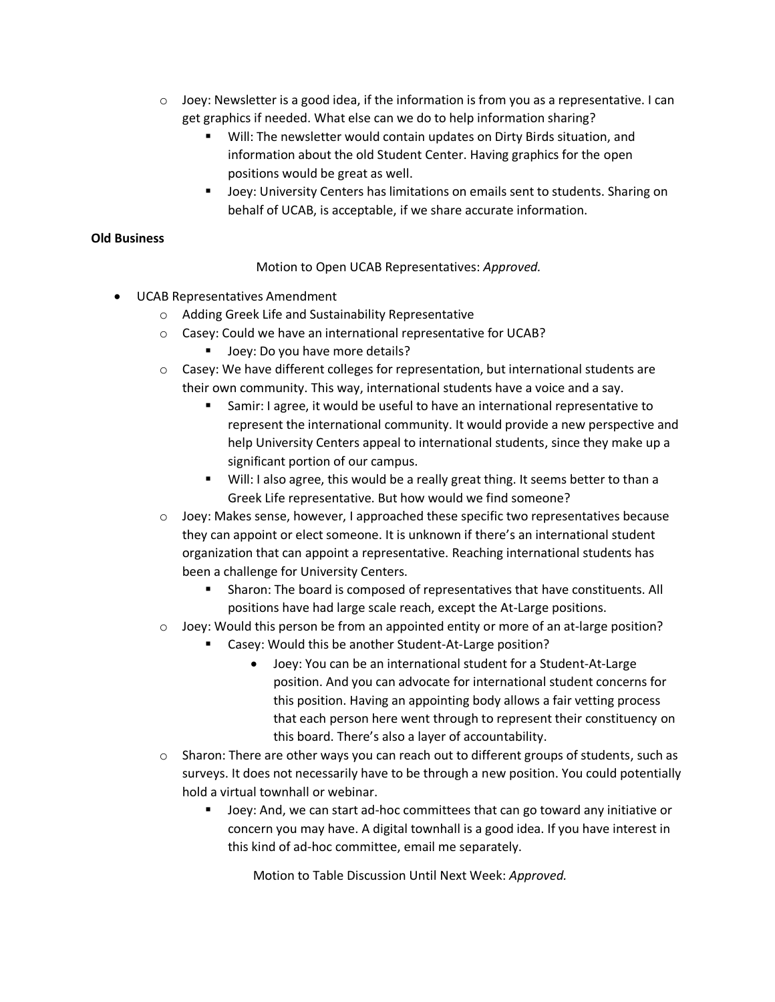- $\circ$  Joey: Newsletter is a good idea, if the information is from you as a representative. I can get graphics if needed. What else can we do to help information sharing?
	- Will: The newsletter would contain updates on Dirty Birds situation, and information about the old Student Center. Having graphics for the open positions would be great as well.
	- Joey: University Centers has limitations on emails sent to students. Sharing on behalf of UCAB, is acceptable, if we share accurate information.

### **Old Business**

Motion to Open UCAB Representatives: *Approved.*

- UCAB Representatives Amendment
	- o Adding Greek Life and Sustainability Representative
	- o Casey: Could we have an international representative for UCAB?
		- Joey: Do you have more details?
	- $\circ$  Casey: We have different colleges for representation, but international students are their own community. This way, international students have a voice and a say.
		- Samir: I agree, it would be useful to have an international representative to represent the international community. It would provide a new perspective and help University Centers appeal to international students, since they make up a significant portion of our campus.
		- Will: I also agree, this would be a really great thing. It seems better to than a Greek Life representative. But how would we find someone?
	- $\circ$  Joey: Makes sense, however, I approached these specific two representatives because they can appoint or elect someone. It is unknown if there's an international student organization that can appoint a representative. Reaching international students has been a challenge for University Centers.
		- Sharon: The board is composed of representatives that have constituents. All positions have had large scale reach, except the At-Large positions.
	- $\circ$  Joey: Would this person be from an appointed entity or more of an at-large position?
		- Casey: Would this be another Student-At-Large position?
			- Joey: You can be an international student for a Student-At-Large position. And you can advocate for international student concerns for this position. Having an appointing body allows a fair vetting process that each person here went through to represent their constituency on this board. There's also a layer of accountability.
	- $\circ$  Sharon: There are other ways you can reach out to different groups of students, such as surveys. It does not necessarily have to be through a new position. You could potentially hold a virtual townhall or webinar.
		- Joey: And, we can start ad-hoc committees that can go toward any initiative or concern you may have. A digital townhall is a good idea. If you have interest in this kind of ad-hoc committee, email me separately.

Motion to Table Discussion Until Next Week: *Approved.*